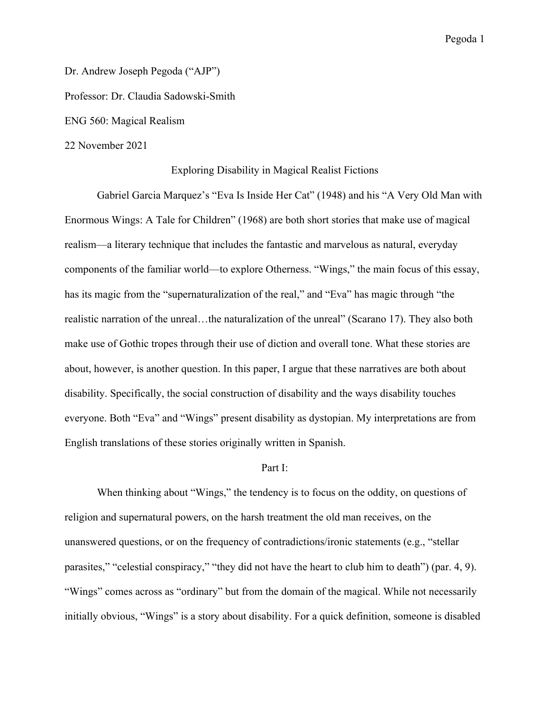Dr. Andrew Joseph Pegoda ("AJP") Professor: Dr. Claudia Sadowski-Smith ENG 560: Magical Realism 22 November 2021

## Exploring Disability in Magical Realist Fictions

Gabriel Garcia Marquez's "Eva Is Inside Her Cat" (1948) and his "A Very Old Man with Enormous Wings: A Tale for Children" (1968) are both short stories that make use of magical realism—a literary technique that includes the fantastic and marvelous as natural, everyday components of the familiar world—to explore Otherness. "Wings," the main focus of this essay, has its magic from the "supernaturalization of the real," and "Eva" has magic through "the realistic narration of the unreal…the naturalization of the unreal" (Scarano 17). They also both make use of Gothic tropes through their use of diction and overall tone. What these stories are about, however, is another question. In this paper, I argue that these narratives are both about disability. Specifically, the social construction of disability and the ways disability touches everyone. Both "Eva" and "Wings" present disability as dystopian. My interpretations are from English translations of these stories originally written in Spanish.

# Part I:

When thinking about "Wings," the tendency is to focus on the oddity, on questions of religion and supernatural powers, on the harsh treatment the old man receives, on the unanswered questions, or on the frequency of contradictions/ironic statements (e.g., "stellar parasites," "celestial conspiracy," "they did not have the heart to club him to death") (par. 4, 9). "Wings" comes across as "ordinary" but from the domain of the magical. While not necessarily initially obvious, "Wings" is a story about disability. For a quick definition, someone is disabled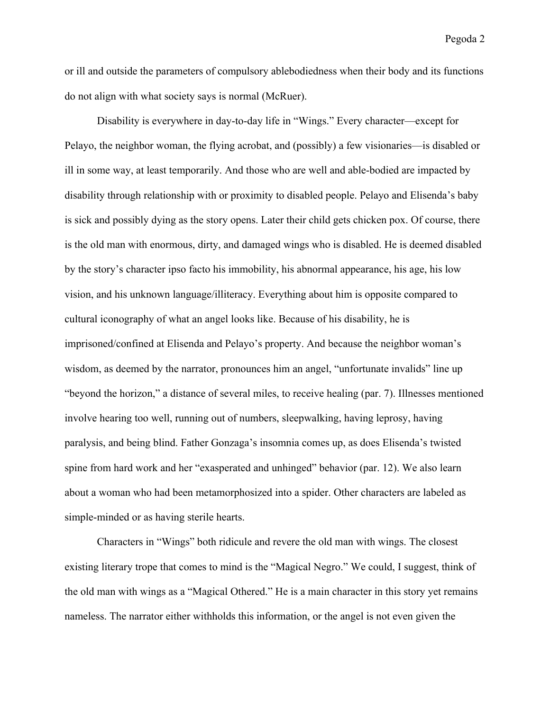or ill and outside the parameters of compulsory ablebodiedness when their body and its functions do not align with what society says is normal (McRuer).

Disability is everywhere in day-to-day life in "Wings." Every character—except for Pelayo, the neighbor woman, the flying acrobat, and (possibly) a few visionaries—is disabled or ill in some way, at least temporarily. And those who are well and able-bodied are impacted by disability through relationship with or proximity to disabled people. Pelayo and Elisenda's baby is sick and possibly dying as the story opens. Later their child gets chicken pox. Of course, there is the old man with enormous, dirty, and damaged wings who is disabled. He is deemed disabled by the story's character ipso facto his immobility, his abnormal appearance, his age, his low vision, and his unknown language/illiteracy. Everything about him is opposite compared to cultural iconography of what an angel looks like. Because of his disability, he is imprisoned/confined at Elisenda and Pelayo's property. And because the neighbor woman's wisdom, as deemed by the narrator, pronounces him an angel, "unfortunate invalids" line up "beyond the horizon," a distance of several miles, to receive healing (par. 7). Illnesses mentioned involve hearing too well, running out of numbers, sleepwalking, having leprosy, having paralysis, and being blind. Father Gonzaga's insomnia comes up, as does Elisenda's twisted spine from hard work and her "exasperated and unhinged" behavior (par. 12). We also learn about a woman who had been metamorphosized into a spider. Other characters are labeled as simple-minded or as having sterile hearts.

Characters in "Wings" both ridicule and revere the old man with wings. The closest existing literary trope that comes to mind is the "Magical Negro." We could, I suggest, think of the old man with wings as a "Magical Othered." He is a main character in this story yet remains nameless. The narrator either withholds this information, or the angel is not even given the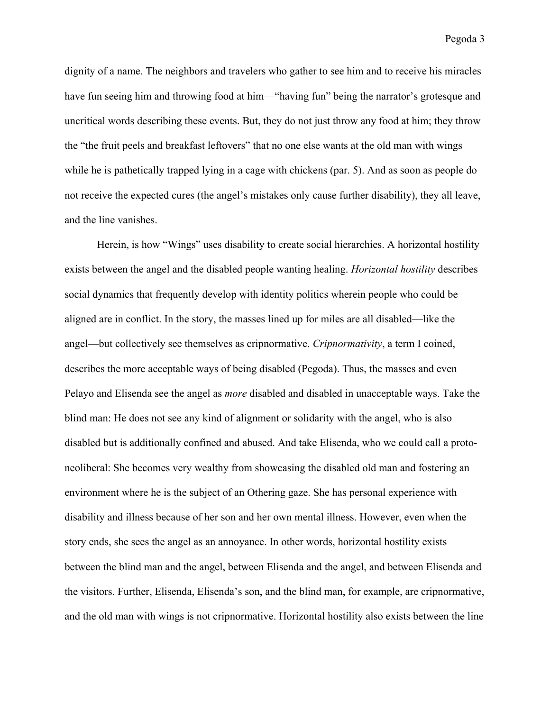dignity of a name. The neighbors and travelers who gather to see him and to receive his miracles have fun seeing him and throwing food at him—"having fun" being the narrator's grotesque and uncritical words describing these events. But, they do not just throw any food at him; they throw the "the fruit peels and breakfast leftovers" that no one else wants at the old man with wings while he is pathetically trapped lying in a cage with chickens (par. 5). And as soon as people do not receive the expected cures (the angel's mistakes only cause further disability), they all leave, and the line vanishes.

Herein, is how "Wings" uses disability to create social hierarchies. A horizontal hostility exists between the angel and the disabled people wanting healing. *Horizontal hostility* describes social dynamics that frequently develop with identity politics wherein people who could be aligned are in conflict. In the story, the masses lined up for miles are all disabled—like the angel—but collectively see themselves as cripnormative. *Cripnormativity*, a term I coined, describes the more acceptable ways of being disabled (Pegoda). Thus, the masses and even Pelayo and Elisenda see the angel as *more* disabled and disabled in unacceptable ways. Take the blind man: He does not see any kind of alignment or solidarity with the angel, who is also disabled but is additionally confined and abused. And take Elisenda, who we could call a protoneoliberal: She becomes very wealthy from showcasing the disabled old man and fostering an environment where he is the subject of an Othering gaze. She has personal experience with disability and illness because of her son and her own mental illness. However, even when the story ends, she sees the angel as an annoyance. In other words, horizontal hostility exists between the blind man and the angel, between Elisenda and the angel, and between Elisenda and the visitors. Further, Elisenda, Elisenda's son, and the blind man, for example, are cripnormative, and the old man with wings is not cripnormative. Horizontal hostility also exists between the line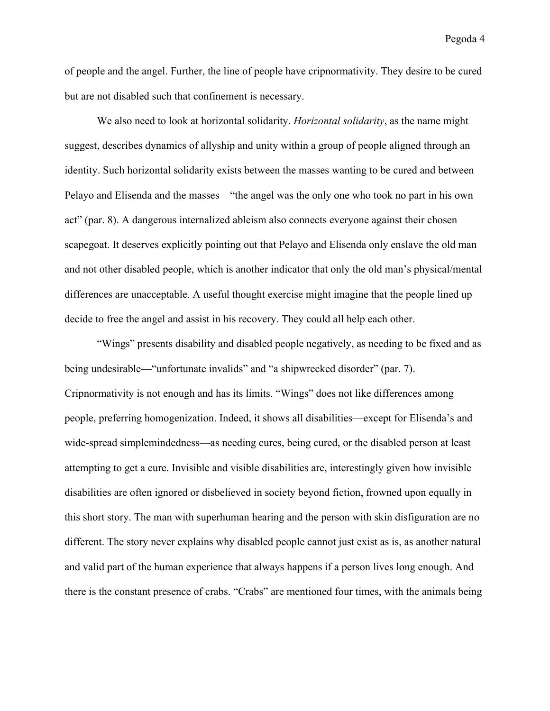of people and the angel. Further, the line of people have cripnormativity. They desire to be cured but are not disabled such that confinement is necessary.

We also need to look at horizontal solidarity. *Horizontal solidarity*, as the name might suggest, describes dynamics of allyship and unity within a group of people aligned through an identity. Such horizontal solidarity exists between the masses wanting to be cured and between Pelayo and Elisenda and the masses—"the angel was the only one who took no part in his own act" (par. 8). A dangerous internalized ableism also connects everyone against their chosen scapegoat. It deserves explicitly pointing out that Pelayo and Elisenda only enslave the old man and not other disabled people, which is another indicator that only the old man's physical/mental differences are unacceptable. A useful thought exercise might imagine that the people lined up decide to free the angel and assist in his recovery. They could all help each other.

"Wings" presents disability and disabled people negatively, as needing to be fixed and as being undesirable—"unfortunate invalids" and "a shipwrecked disorder" (par. 7). Cripnormativity is not enough and has its limits. "Wings" does not like differences among people, preferring homogenization. Indeed, it shows all disabilities—except for Elisenda's and wide-spread simplemindedness—as needing cures, being cured, or the disabled person at least attempting to get a cure. Invisible and visible disabilities are, interestingly given how invisible disabilities are often ignored or disbelieved in society beyond fiction, frowned upon equally in this short story. The man with superhuman hearing and the person with skin disfiguration are no different. The story never explains why disabled people cannot just exist as is, as another natural and valid part of the human experience that always happens if a person lives long enough. And there is the constant presence of crabs. "Crabs" are mentioned four times, with the animals being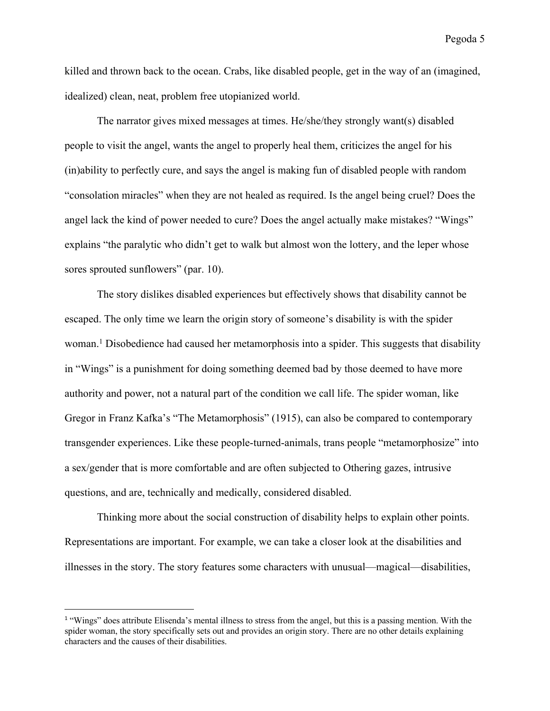killed and thrown back to the ocean. Crabs, like disabled people, get in the way of an (imagined, idealized) clean, neat, problem free utopianized world.

The narrator gives mixed messages at times. He/she/they strongly want(s) disabled people to visit the angel, wants the angel to properly heal them, criticizes the angel for his (in)ability to perfectly cure, and says the angel is making fun of disabled people with random "consolation miracles" when they are not healed as required. Is the angel being cruel? Does the angel lack the kind of power needed to cure? Does the angel actually make mistakes? "Wings" explains "the paralytic who didn't get to walk but almost won the lottery, and the leper whose sores sprouted sunflowers" (par. 10).

The story dislikes disabled experiences but effectively shows that disability cannot be escaped. The only time we learn the origin story of someone's disability is with the spider woman.<sup>1</sup> Disobedience had caused her metamorphosis into a spider. This suggests that disability in "Wings" is a punishment for doing something deemed bad by those deemed to have more authority and power, not a natural part of the condition we call life. The spider woman, like Gregor in Franz Kafka's "The Metamorphosis" (1915), can also be compared to contemporary transgender experiences. Like these people-turned-animals, trans people "metamorphosize" into a sex/gender that is more comfortable and are often subjected to Othering gazes, intrusive questions, and are, technically and medically, considered disabled.

Thinking more about the social construction of disability helps to explain other points. Representations are important. For example, we can take a closer look at the disabilities and illnesses in the story. The story features some characters with unusual—magical—disabilities,

<sup>&</sup>lt;sup>1</sup> "Wings" does attribute Elisenda's mental illness to stress from the angel, but this is a passing mention. With the spider woman, the story specifically sets out and provides an origin story. There are no other details explaining characters and the causes of their disabilities.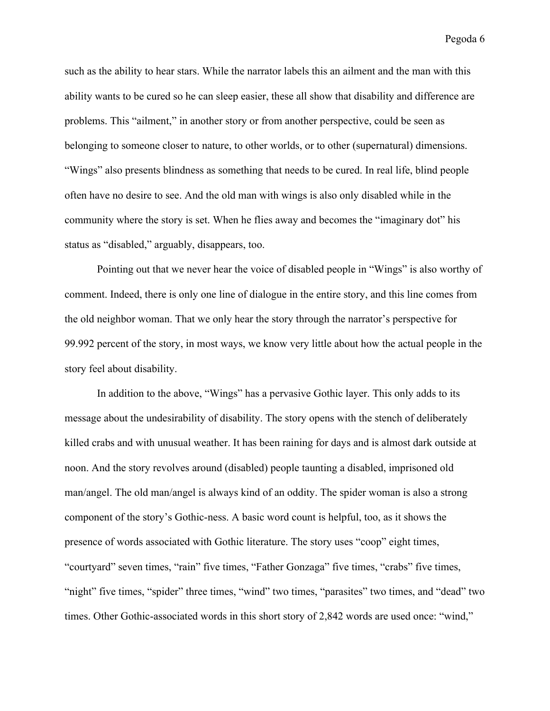such as the ability to hear stars. While the narrator labels this an ailment and the man with this ability wants to be cured so he can sleep easier, these all show that disability and difference are problems. This "ailment," in another story or from another perspective, could be seen as belonging to someone closer to nature, to other worlds, or to other (supernatural) dimensions. "Wings" also presents blindness as something that needs to be cured. In real life, blind people often have no desire to see. And the old man with wings is also only disabled while in the community where the story is set. When he flies away and becomes the "imaginary dot" his status as "disabled," arguably, disappears, too.

Pointing out that we never hear the voice of disabled people in "Wings" is also worthy of comment. Indeed, there is only one line of dialogue in the entire story, and this line comes from the old neighbor woman. That we only hear the story through the narrator's perspective for 99.992 percent of the story, in most ways, we know very little about how the actual people in the story feel about disability.

In addition to the above, "Wings" has a pervasive Gothic layer. This only adds to its message about the undesirability of disability. The story opens with the stench of deliberately killed crabs and with unusual weather. It has been raining for days and is almost dark outside at noon. And the story revolves around (disabled) people taunting a disabled, imprisoned old man/angel. The old man/angel is always kind of an oddity. The spider woman is also a strong component of the story's Gothic-ness. A basic word count is helpful, too, as it shows the presence of words associated with Gothic literature. The story uses "coop" eight times, "courtyard" seven times, "rain" five times, "Father Gonzaga" five times, "crabs" five times, "night" five times, "spider" three times, "wind" two times, "parasites" two times, and "dead" two times. Other Gothic-associated words in this short story of 2,842 words are used once: "wind,"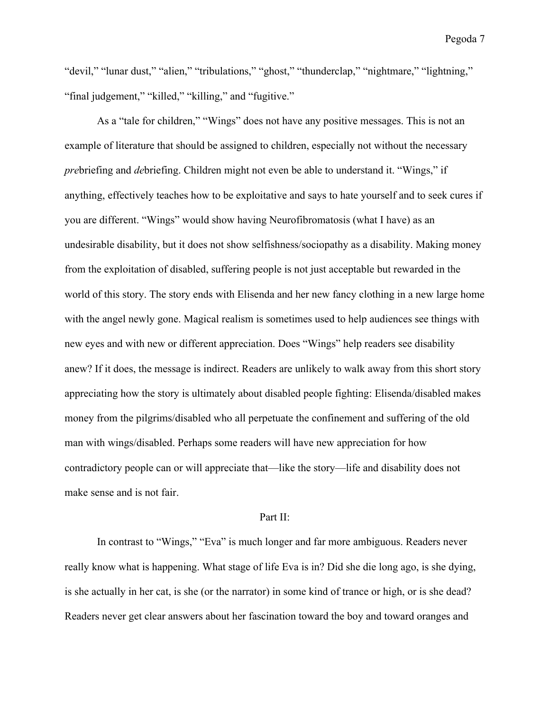"devil," "lunar dust," "alien," "tribulations," "ghost," "thunderclap," "nightmare," "lightning," "final judgement," "killed," "killing," and "fugitive."

As a "tale for children," "Wings" does not have any positive messages. This is not an example of literature that should be assigned to children, especially not without the necessary *pre*briefing and *de*briefing. Children might not even be able to understand it. "Wings," if anything, effectively teaches how to be exploitative and says to hate yourself and to seek cures if you are different. "Wings" would show having Neurofibromatosis (what I have) as an undesirable disability, but it does not show selfishness/sociopathy as a disability. Making money from the exploitation of disabled, suffering people is not just acceptable but rewarded in the world of this story. The story ends with Elisenda and her new fancy clothing in a new large home with the angel newly gone. Magical realism is sometimes used to help audiences see things with new eyes and with new or different appreciation. Does "Wings" help readers see disability anew? If it does, the message is indirect. Readers are unlikely to walk away from this short story appreciating how the story is ultimately about disabled people fighting: Elisenda/disabled makes money from the pilgrims/disabled who all perpetuate the confinement and suffering of the old man with wings/disabled. Perhaps some readers will have new appreciation for how contradictory people can or will appreciate that—like the story—life and disability does not make sense and is not fair.

#### Part II:

In contrast to "Wings," "Eva" is much longer and far more ambiguous. Readers never really know what is happening. What stage of life Eva is in? Did she die long ago, is she dying, is she actually in her cat, is she (or the narrator) in some kind of trance or high, or is she dead? Readers never get clear answers about her fascination toward the boy and toward oranges and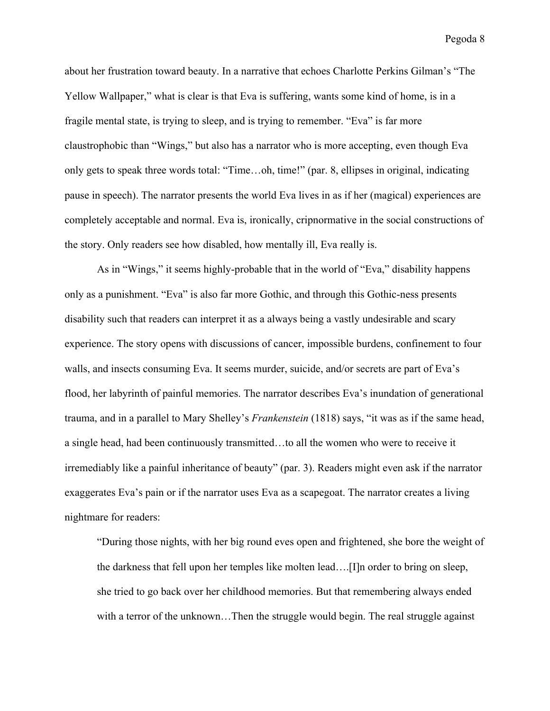about her frustration toward beauty. In a narrative that echoes Charlotte Perkins Gilman's "The Yellow Wallpaper," what is clear is that Eva is suffering, wants some kind of home, is in a fragile mental state, is trying to sleep, and is trying to remember. "Eva" is far more claustrophobic than "Wings," but also has a narrator who is more accepting, even though Eva only gets to speak three words total: "Time…oh, time!" (par. 8, ellipses in original, indicating pause in speech). The narrator presents the world Eva lives in as if her (magical) experiences are completely acceptable and normal. Eva is, ironically, cripnormative in the social constructions of the story. Only readers see how disabled, how mentally ill, Eva really is.

As in "Wings," it seems highly-probable that in the world of "Eva," disability happens only as a punishment. "Eva" is also far more Gothic, and through this Gothic-ness presents disability such that readers can interpret it as a always being a vastly undesirable and scary experience. The story opens with discussions of cancer, impossible burdens, confinement to four walls, and insects consuming Eva. It seems murder, suicide, and/or secrets are part of Eva's flood, her labyrinth of painful memories. The narrator describes Eva's inundation of generational trauma, and in a parallel to Mary Shelley's *Frankenstein* (1818) says, "it was as if the same head, a single head, had been continuously transmitted…to all the women who were to receive it irremediably like a painful inheritance of beauty" (par. 3). Readers might even ask if the narrator exaggerates Eva's pain or if the narrator uses Eva as a scapegoat. The narrator creates a living nightmare for readers:

"During those nights, with her big round eves open and frightened, she bore the weight of the darkness that fell upon her temples like molten lead….[I]n order to bring on sleep, she tried to go back over her childhood memories. But that remembering always ended with a terror of the unknown...Then the struggle would begin. The real struggle against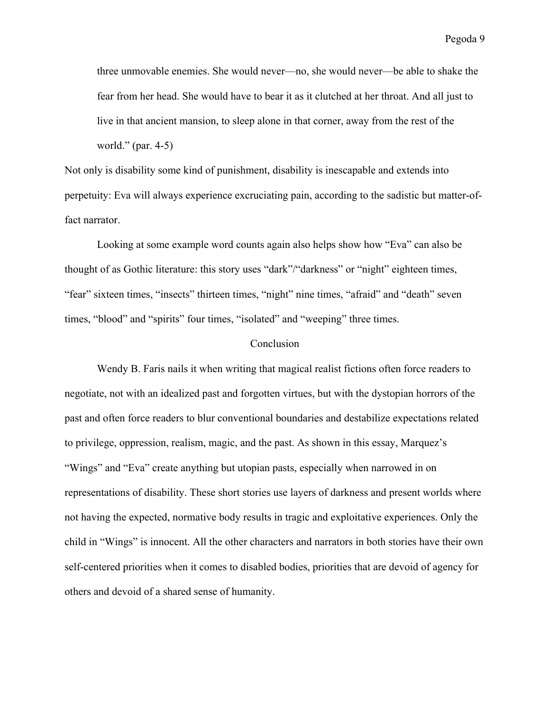three unmovable enemies. She would never—no, she would never—be able to shake the fear from her head. She would have to bear it as it clutched at her throat. And all just to live in that ancient mansion, to sleep alone in that corner, away from the rest of the world." (par. 4-5)

Not only is disability some kind of punishment, disability is inescapable and extends into perpetuity: Eva will always experience excruciating pain, according to the sadistic but matter-offact narrator.

Looking at some example word counts again also helps show how "Eva" can also be thought of as Gothic literature: this story uses "dark"/"darkness" or "night" eighteen times, "fear" sixteen times, "insects" thirteen times, "night" nine times, "afraid" and "death" seven times, "blood" and "spirits" four times, "isolated" and "weeping" three times.

# **Conclusion**

Wendy B. Faris nails it when writing that magical realist fictions often force readers to negotiate, not with an idealized past and forgotten virtues, but with the dystopian horrors of the past and often force readers to blur conventional boundaries and destabilize expectations related to privilege, oppression, realism, magic, and the past. As shown in this essay, Marquez's "Wings" and "Eva" create anything but utopian pasts, especially when narrowed in on representations of disability. These short stories use layers of darkness and present worlds where not having the expected, normative body results in tragic and exploitative experiences. Only the child in "Wings" is innocent. All the other characters and narrators in both stories have their own self-centered priorities when it comes to disabled bodies, priorities that are devoid of agency for others and devoid of a shared sense of humanity.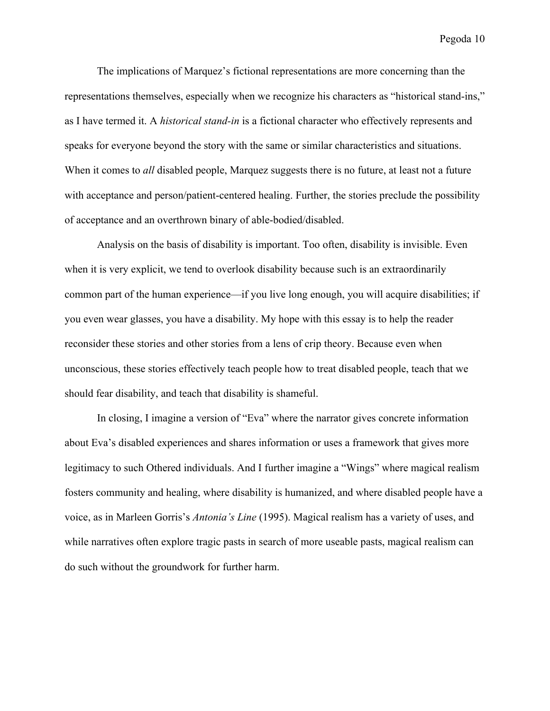The implications of Marquez's fictional representations are more concerning than the representations themselves, especially when we recognize his characters as "historical stand-ins," as I have termed it. A *historical stand-in* is a fictional character who effectively represents and speaks for everyone beyond the story with the same or similar characteristics and situations. When it comes to *all* disabled people, Marquez suggests there is no future, at least not a future with acceptance and person/patient-centered healing. Further, the stories preclude the possibility of acceptance and an overthrown binary of able-bodied/disabled.

Analysis on the basis of disability is important. Too often, disability is invisible. Even when it is very explicit, we tend to overlook disability because such is an extraordinarily common part of the human experience—if you live long enough, you will acquire disabilities; if you even wear glasses, you have a disability. My hope with this essay is to help the reader reconsider these stories and other stories from a lens of crip theory. Because even when unconscious, these stories effectively teach people how to treat disabled people, teach that we should fear disability, and teach that disability is shameful.

In closing, I imagine a version of "Eva" where the narrator gives concrete information about Eva's disabled experiences and shares information or uses a framework that gives more legitimacy to such Othered individuals. And I further imagine a "Wings" where magical realism fosters community and healing, where disability is humanized, and where disabled people have a voice, as in Marleen Gorris's *Antonia's Line* (1995). Magical realism has a variety of uses, and while narratives often explore tragic pasts in search of more useable pasts, magical realism can do such without the groundwork for further harm.